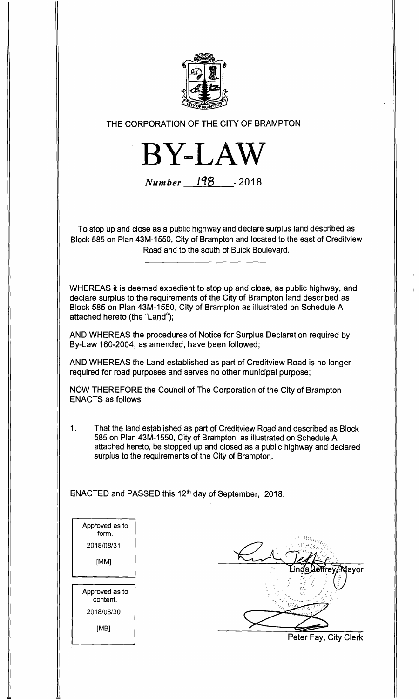

**THE CORPORATION OF THE CITY OF BRAMPTON** 

**BY**

**Number** 198 -2018

**To stop up and close as a public highway and declare surplus land described as Block 585 on Plan 43M-1550, City of Brampton and located to the east of Creditview Road and to the south of Buick Boulevard.** 

**WHEREAS it is deemed expedient to stop up and close, as public highway, and declare surplus to the requirements of the City of Brampton land described as Block 585 on Plan 43M-1550, City of Brampton as illustrated on Schedule A attached hereto (the "Land");** 

**AND WHEREAS the procedures of Notice for Surplus Declaration required by By-Law 160-2004, as amended, have been followed;** 

**AND WHEREAS the Land established as part of Creditview Road is no longer required for road purposes and serves no other municipal purpose;** 

**NOW THEREFORE the Council of The Corporation of the City of Brampton ENACTS as follows:** 

**1. That the land established as part of Creditview Road and described as Block 585 on Plan 43M-1550, City of Brampton, as illustrated on Schedule A attached hereto, be stopped up and closed as a public highway and declared surplus to the requirements of the City of Brampton.** 

ENACTED and PASSED this 12<sup>th</sup> day of September, 2018.

**Approved as to form.**  2018/08/31 **[MM] Approved as to content.**  2018/08/30 [MB]

?̇̃Mavor

**Peter Fay, City Clerk**